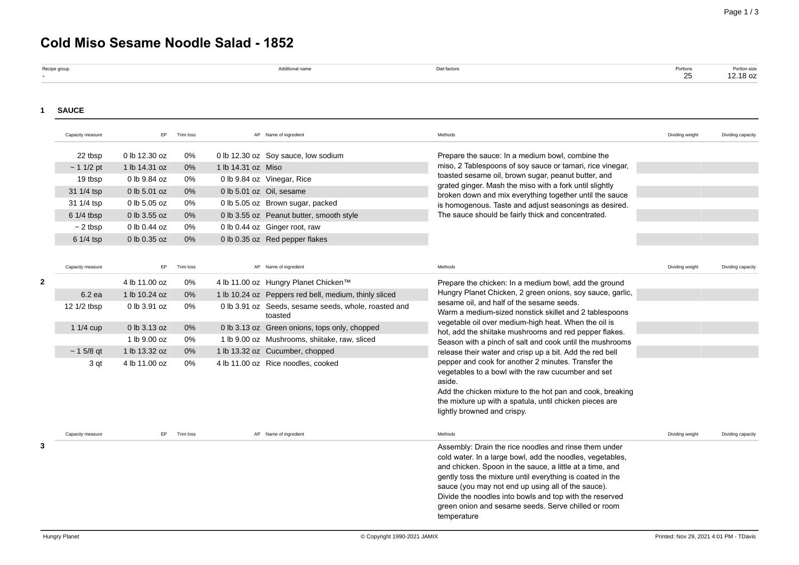# **Cold Miso Sesame Noodle Salad - 1852**

| Recipe group | A stationary company | the contract of the contract of the contract of the contract of the contract of<br>t lactors | ___<br>Portions |                          |
|--------------|----------------------|----------------------------------------------------------------------------------------------|-----------------|--------------------------|
|              |                      |                                                                                              | $\sim$ $-$      | Portion size<br>12.18 OZ |
|              |                      |                                                                                              |                 |                          |

### **1 SAUCE**

|   | Capacity measure | EP            | Trim loss |                    | AP Name of ingredient                                           | Methods                                                                                                                                                                                                                                                                                                                                                                                                                            | Dividing weight | Dividing capacity |
|---|------------------|---------------|-----------|--------------------|-----------------------------------------------------------------|------------------------------------------------------------------------------------------------------------------------------------------------------------------------------------------------------------------------------------------------------------------------------------------------------------------------------------------------------------------------------------------------------------------------------------|-----------------|-------------------|
|   | 22 tbsp          | 0 lb 12.30 oz | 0%        |                    | 0 lb 12.30 oz Soy sauce, low sodium                             | Prepare the sauce: In a medium bowl, combine the                                                                                                                                                                                                                                                                                                                                                                                   |                 |                   |
|   | ~11/2~pt         | 1 lb 14.31 oz | 0%        | 1 lb 14.31 oz Miso |                                                                 | miso, 2 Tablespoons of soy sauce or tamari, rice vinegar,                                                                                                                                                                                                                                                                                                                                                                          |                 |                   |
|   | 19 tbsp          | 0 lb 9.84 oz  | 0%        |                    | 0 lb 9.84 oz Vinegar, Rice                                      | toasted sesame oil, brown sugar, peanut butter, and                                                                                                                                                                                                                                                                                                                                                                                |                 |                   |
|   | 31 1/4 tsp       | 0 lb 5.01 oz  | 0%        |                    | 0 lb 5.01 oz Oil, sesame                                        | grated ginger. Mash the miso with a fork until slightly<br>broken down and mix everything together until the sauce                                                                                                                                                                                                                                                                                                                 |                 |                   |
|   | 31 1/4 tsp       | 0 lb 5.05 oz  | 0%        |                    | 0 lb 5.05 oz Brown sugar, packed                                | is homogenous. Taste and adjust seasonings as desired.                                                                                                                                                                                                                                                                                                                                                                             |                 |                   |
|   | 6 1/4 tbsp       | 0 lb 3.55 oz  | 0%        |                    | 0 lb 3.55 oz Peanut butter, smooth style                        | The sauce should be fairly thick and concentrated.                                                                                                                                                                                                                                                                                                                                                                                 |                 |                   |
|   | $\sim$ 2 tbsp    | 0 lb 0.44 oz  | 0%        |                    | 0 lb 0.44 oz Ginger root, raw                                   |                                                                                                                                                                                                                                                                                                                                                                                                                                    |                 |                   |
|   | 6 1/4 tsp        | 0 lb 0.35 oz  | 0%        |                    | 0 lb 0.35 oz Red pepper flakes                                  |                                                                                                                                                                                                                                                                                                                                                                                                                                    |                 |                   |
|   |                  |               |           |                    |                                                                 |                                                                                                                                                                                                                                                                                                                                                                                                                                    |                 |                   |
|   | Capacity measure | EP            | Trim loss |                    | AP Name of ingredient                                           | Methods                                                                                                                                                                                                                                                                                                                                                                                                                            | Dividing weight | Dividing capacity |
|   |                  | 4 lb 11.00 oz | 0%        |                    | 4 lb 11.00 oz Hungry Planet Chicken™                            | Prepare the chicken: In a medium bowl, add the ground                                                                                                                                                                                                                                                                                                                                                                              |                 |                   |
|   | 6.2 ea           | 1 lb 10.24 oz | $0\%$     |                    | 1 lb 10.24 oz Peppers red bell, medium, thinly sliced           | Hungry Planet Chicken, 2 green onions, soy sauce, garlic,                                                                                                                                                                                                                                                                                                                                                                          |                 |                   |
|   | 12 1/2 tbsp      | 0 lb 3.91 oz  | 0%        |                    | 0 lb 3.91 oz Seeds, sesame seeds, whole, roasted and<br>toasted | sesame oil, and half of the sesame seeds.<br>Warm a medium-sized nonstick skillet and 2 tablespoons                                                                                                                                                                                                                                                                                                                                |                 |                   |
|   | 1 1/4 cup        | 0 lb 3.13 oz  | 0%        |                    | 0 lb 3.13 oz Green onions, tops only, chopped                   | vegetable oil over medium-high heat. When the oil is<br>hot, add the shiitake mushrooms and red pepper flakes.                                                                                                                                                                                                                                                                                                                     |                 |                   |
|   |                  | 1 lb 9.00 oz  | 0%        |                    | 1 lb 9.00 oz Mushrooms, shiitake, raw, sliced                   | Season with a pinch of salt and cook until the mushrooms                                                                                                                                                                                                                                                                                                                                                                           |                 |                   |
|   | $~15/8$ qt       | 1 lb 13.32 oz | $0\%$     |                    | 1 lb 13.32 oz Cucumber, chopped                                 | release their water and crisp up a bit. Add the red bell                                                                                                                                                                                                                                                                                                                                                                           |                 |                   |
|   | 3 qt             | 4 lb 11.00 oz | 0%        |                    | 4 lb 11.00 oz Rice noodles, cooked                              | pepper and cook for another 2 minutes. Transfer the<br>vegetables to a bowl with the raw cucumber and set<br>aside.<br>Add the chicken mixture to the hot pan and cook, breaking<br>the mixture up with a spatula, until chicken pieces are<br>lightly browned and crispy.                                                                                                                                                         |                 |                   |
|   | Capacity measure | EP            | Trim loss |                    | AP Name of ingredient                                           | Methods                                                                                                                                                                                                                                                                                                                                                                                                                            | Dividing weight | Dividing capacity |
| 3 |                  |               |           |                    |                                                                 | Assembly: Drain the rice noodles and rinse them under<br>cold water. In a large bowl, add the noodles, vegetables,<br>and chicken. Spoon in the sauce, a little at a time, and<br>gently toss the mixture until everything is coated in the<br>sauce (you may not end up using all of the sauce).<br>Divide the noodles into bowls and top with the reserved<br>green onion and sesame seeds. Serve chilled or room<br>temperature |                 |                   |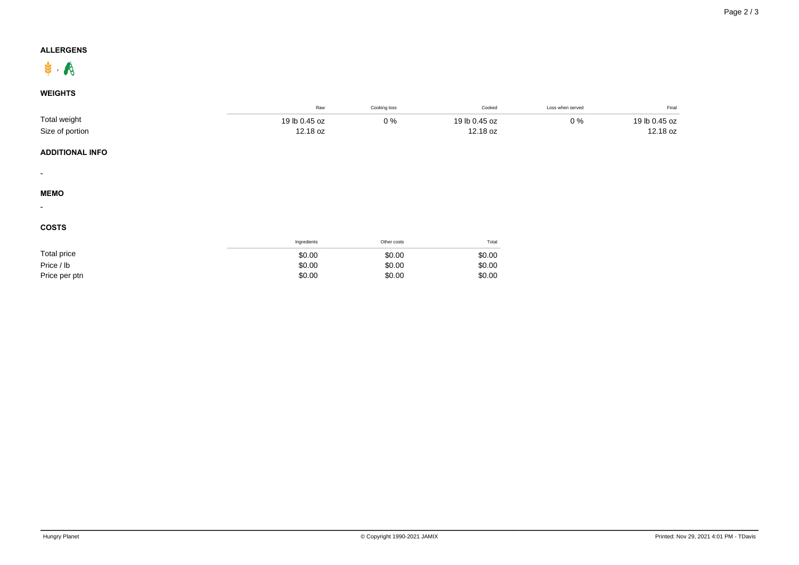## **ALLERGENS**



## **WEIGHTS**

|                          | Raw           | Cooking loss | Cooked        | Loss when served | Final         |
|--------------------------|---------------|--------------|---------------|------------------|---------------|
| Total weight             | 19 lb 0.45 oz | $0\%$        | 19 lb 0.45 oz | $0\%$            | 19 lb 0.45 oz |
| Size of portion          | 12.18 oz      |              | 12.18 oz      |                  | 12.18 oz      |
| <b>ADDITIONAL INFO</b>   |               |              |               |                  |               |
| $\overline{\phantom{a}}$ |               |              |               |                  |               |
| <b>MEMO</b>              |               |              |               |                  |               |
| $\overline{\phantom{a}}$ |               |              |               |                  |               |
| <b>COSTS</b>             |               |              |               |                  |               |
|                          | Ingredients   | Other costs  | Total         |                  |               |
| <b>Total price</b>       | \$0.00        | \$0.00       | \$0.00        |                  |               |
| Price / lb               | \$0.00        | \$0.00       | \$0.00        |                  |               |
| Price per ptn            | \$0.00        | \$0.00       | \$0.00        |                  |               |